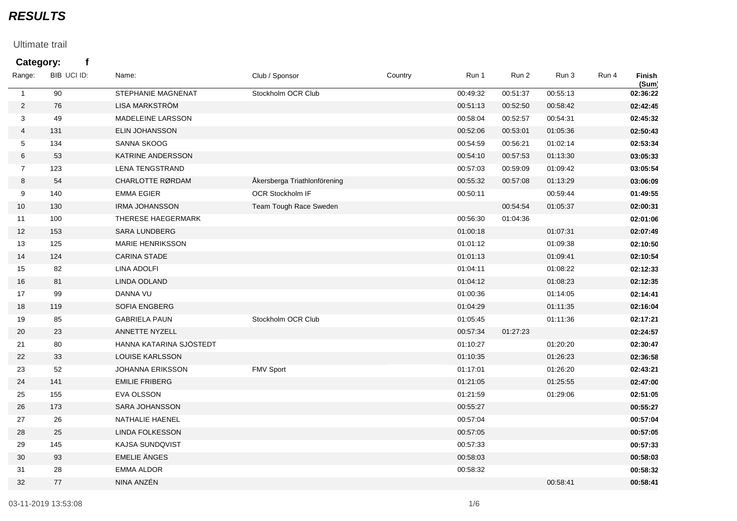## *RESULTS*

## Ultimate trail

## **Category: f**

| Range:         | BIB UCI ID: | Name:                     | Club / Sponsor               | Country | Run 1    | Run 2    | Run 3    | Run 4 | Finish<br>(Sum) |
|----------------|-------------|---------------------------|------------------------------|---------|----------|----------|----------|-------|-----------------|
| $\mathbf{1}$   | 90          | <b>STEPHANIE MAGNENAT</b> | Stockholm OCR Club           |         | 00:49:32 | 00:51:37 | 00:55:13 |       | 02:36:22        |
| $\overline{2}$ | 76          | LISA MARKSTRÖM            |                              |         | 00:51:13 | 00:52:50 | 00:58:42 |       | 02:42:45        |
| 3              | 49          | MADELEINE LARSSON         |                              |         | 00:58:04 | 00:52:57 | 00:54:31 |       | 02:45:32        |
| 4              | 131         | ELIN JOHANSSON            |                              |         | 00:52:06 | 00:53:01 | 01:05:36 |       | 02:50:43        |
| 5              | 134         | SANNA SKOOG               |                              |         | 00:54:59 | 00:56:21 | 01:02:14 |       | 02:53:34        |
| 6              | 53          | KATRINE ANDERSSON         |                              |         | 00:54:10 | 00:57:53 | 01:13:30 |       | 03:05:33        |
| $\overline{7}$ | 123         | <b>LENA TENGSTRAND</b>    |                              |         | 00:57:03 | 00:59:09 | 01:09:42 |       | 03:05:54        |
| 8              | 54          | CHARLOTTE RØRDAM          | Åkersberga Triathlonförening |         | 00:55:32 | 00:57:08 | 01:13:29 |       | 03:06:09        |
| 9              | 140         | <b>EMMA EGIER</b>         | OCR Stockholm IF             |         | 00:50:11 |          | 00:59:44 |       | 01:49:55        |
| 10             | 130         | <b>IRMA JOHANSSON</b>     | Team Tough Race Sweden       |         |          | 00:54:54 | 01:05:37 |       | 02:00:31        |
| 11             | 100         | THERESE HAEGERMARK        |                              |         | 00:56:30 | 01:04:36 |          |       | 02:01:06        |
| 12             | 153         | <b>SARA LUNDBERG</b>      |                              |         | 01:00:18 |          | 01:07:31 |       | 02:07:49        |
| 13             | 125         | <b>MARIE HENRIKSSON</b>   |                              |         | 01:01:12 |          | 01:09:38 |       | 02:10:50        |
| 14             | 124         | <b>CARINA STADE</b>       |                              |         | 01:01:13 |          | 01:09:41 |       | 02:10:54        |
| 15             | 82          | <b>LINA ADOLFI</b>        |                              |         | 01:04:11 |          | 01:08:22 |       | 02:12:33        |
| 16             | 81          | LINDA ODLAND              |                              |         | 01:04:12 |          | 01:08:23 |       | 02:12:35        |
| 17             | 99          | DANNA VU                  |                              |         | 01:00:36 |          | 01:14:05 |       | 02:14:41        |
| 18             | 119         | SOFIA ENGBERG             |                              |         | 01:04:29 |          | 01:11:35 |       | 02:16:04        |
| 19             | 85          | <b>GABRIELA PAUN</b>      | Stockholm OCR Club           |         | 01:05:45 |          | 01:11:36 |       | 02:17:21        |
| 20             | 23          | ANNETTE NYZELL            |                              |         | 00:57:34 | 01:27:23 |          |       | 02:24:57        |
| 21             | 80          | HANNA KATARINA SJÖSTEDT   |                              |         | 01:10:27 |          | 01:20:20 |       | 02:30:47        |
| 22             | 33          | LOUISE KARLSSON           |                              |         | 01:10:35 |          | 01:26:23 |       | 02:36:58        |
| 23             | 52          | JOHANNA ERIKSSON          | FMV Sport                    |         | 01:17:01 |          | 01:26:20 |       | 02:43:21        |
| 24             | 141         | <b>EMILIE FRIBERG</b>     |                              |         | 01:21:05 |          | 01:25:55 |       | 02:47:00        |
| 25             | 155         | EVA OLSSON                |                              |         | 01:21:59 |          | 01:29:06 |       | 02:51:05        |
| 26             | 173         | SARA JOHANSSON            |                              |         | 00:55:27 |          |          |       | 00:55:27        |
| 27             | 26          | NATHALIE HAENEL           |                              |         | 00:57:04 |          |          |       | 00:57:04        |
| 28             | 25          | LINDA FOLKESSON           |                              |         | 00:57:05 |          |          |       | 00:57:05        |
| 29             | 145         | KAJSA SUNDQVIST           |                              |         | 00:57:33 |          |          |       | 00:57:33        |
| 30             | 93          | <b>EMELIE ÄNGES</b>       |                              |         | 00:58:03 |          |          |       | 00:58:03        |
| 31             | 28          | <b>EMMA ALDOR</b>         |                              |         | 00:58:32 |          |          |       | 00:58:32        |
| 32             | 77          | NINA ANZÉN                |                              |         |          |          | 00:58:41 |       | 00:58:41        |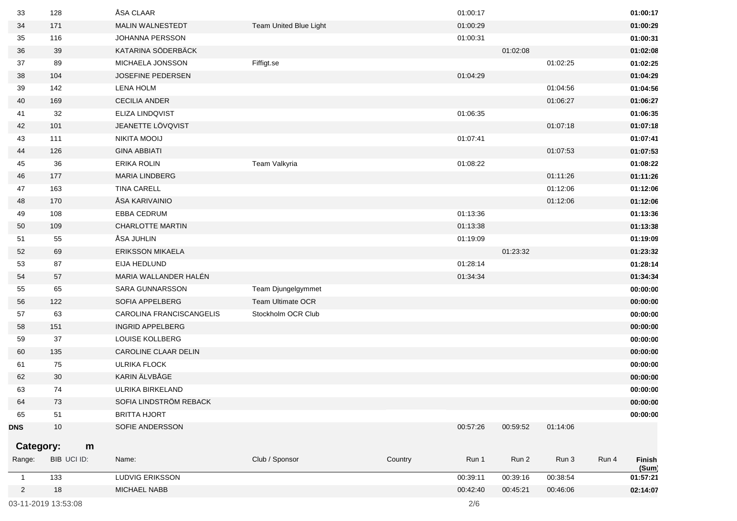| 33             | 128         | ÅSA CLAAR                |                          |         | 01:00:17 |          |          |       | 01:00:17        |
|----------------|-------------|--------------------------|--------------------------|---------|----------|----------|----------|-------|-----------------|
| 34             | 171         | <b>MALIN WALNESTEDT</b>  | Team United Blue Light   |         | 01:00:29 |          |          |       | 01:00:29        |
| 35             | 116         | JOHANNA PERSSON          |                          |         | 01:00:31 |          |          |       | 01:00:31        |
| 36             | 39          | KATARINA SÖDERBÄCK       |                          |         |          | 01:02:08 |          |       | 01:02:08        |
| 37             | 89          | MICHAELA JONSSON         | Fiffigt.se               |         |          |          | 01:02:25 |       | 01:02:25        |
| 38             | 104         | JOSEFINE PEDERSEN        |                          |         | 01:04:29 |          |          |       | 01:04:29        |
| 39             | 142         | <b>LENA HOLM</b>         |                          |         |          |          | 01:04:56 |       | 01:04:56        |
| 40             | 169         | <b>CECILIA ANDER</b>     |                          |         |          |          | 01:06:27 |       | 01:06:27        |
| 41             | 32          | ELIZA LINDQVIST          |                          |         | 01:06:35 |          |          |       | 01:06:35        |
| 42             | 101         | JEANETTE LÖVQVIST        |                          |         |          |          | 01:07:18 |       | 01:07:18        |
| 43             | 111         | NIKITA MOOIJ             |                          |         | 01:07:41 |          |          |       | 01:07:41        |
| 44             | 126         | <b>GINA ABBIATI</b>      |                          |         |          |          | 01:07:53 |       | 01:07:53        |
| 45             | 36          | ERIKA ROLIN              | Team Valkyria            |         | 01:08:22 |          |          |       | 01:08:22        |
| 46             | 177         | <b>MARIA LINDBERG</b>    |                          |         |          |          | 01:11:26 |       | 01:11:26        |
| 47             | 163         | <b>TINA CARELL</b>       |                          |         |          |          | 01:12:06 |       | 01:12:06        |
| 48             | 170         | ÅSA KARIVAINIO           |                          |         |          |          | 01:12:06 |       | 01:12:06        |
| 49             | 108         | <b>EBBA CEDRUM</b>       |                          |         | 01:13:36 |          |          |       | 01:13:36        |
| 50             | 109         | <b>CHARLOTTE MARTIN</b>  |                          |         | 01:13:38 |          |          |       | 01:13:38        |
| 51             | 55          | ÅSA JUHLIN               |                          |         | 01:19:09 |          |          |       | 01:19:09        |
| 52             | 69          | <b>ERIKSSON MIKAELA</b>  |                          |         |          | 01:23:32 |          |       | 01:23:32        |
| 53             | 87          | EIJA HEDLUND             |                          |         | 01:28:14 |          |          |       | 01:28:14        |
| 54             | 57          | MARIA WALLANDER HALÉN    |                          |         | 01:34:34 |          |          |       | 01:34:34        |
| 55             | 65          | <b>SARA GUNNARSSON</b>   | Team Djungelgymmet       |         |          |          |          |       | 00:00:00        |
| 56             | 122         | SOFIA APPELBERG          | <b>Team Ultimate OCR</b> |         |          |          |          |       | 00:00:00        |
| 57             | 63          | CAROLINA FRANCISCANGELIS | Stockholm OCR Club       |         |          |          |          |       | 00:00:00        |
| 58             | 151         | <b>INGRID APPELBERG</b>  |                          |         |          |          |          |       | 00:00:00        |
| 59             | 37          | LOUISE KOLLBERG          |                          |         |          |          |          |       | 00:00:00        |
| 60             | 135         | CAROLINE CLAAR DELIN     |                          |         |          |          |          |       | 00:00:00        |
| 61             | 75          | <b>ULRIKA FLOCK</b>      |                          |         |          |          |          |       | 00:00:00        |
| 62             | 30          | KARIN ÄLVBÅGE            |                          |         |          |          |          |       | 00:00:00        |
| 63             | 74          | ULRIKA BIRKELAND         |                          |         |          |          |          |       | 00:00:00        |
| 64             | 73          | SOFIA LINDSTRÖM REBACK   |                          |         |          |          |          |       | 00:00:00        |
| 65             | 51          | <b>BRITTA HJORT</b>      |                          |         |          |          |          |       | 00:00:00        |
| <b>DNS</b>     | $10$        | SOFIE ANDERSSON          |                          |         | 00:57:26 | 00:59:52 | 01:14:06 |       |                 |
| Category:      | m           |                          |                          |         |          |          |          |       |                 |
| Range:         | BIB UCI ID: | Name:                    |                          |         |          |          | Run 3    |       |                 |
|                |             |                          | Club / Sponsor           | Country | Run 1    | Run 2    |          | Run 4 | Finish<br>(Sum) |
| $\mathbf{1}$   | 133         | LUDVIG ERIKSSON          |                          |         | 00:39:11 | 00:39:16 | 00:38:54 |       | 01:57:21        |
| $\overline{2}$ | 18          | MICHAEL NABB             |                          |         | 00:42:40 | 00:45:21 | 00:46:06 |       | 02:14:07        |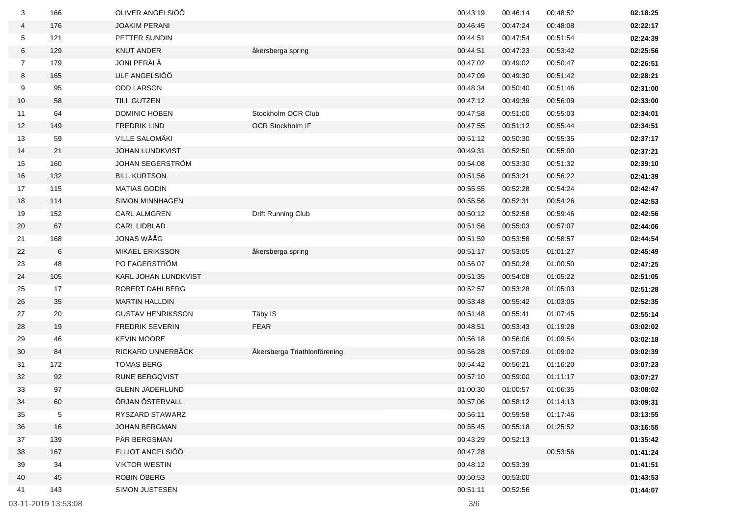| 3              | 166                 | OLIVER ANGELSIÖÖ         |                              | 00:43:19 | 00:46:14 | 00:48:52 | 02:18:25 |
|----------------|---------------------|--------------------------|------------------------------|----------|----------|----------|----------|
| 4              | 176                 | <b>JOAKIM PERANI</b>     |                              | 00:46:45 | 00:47:24 | 00:48:08 | 02:22:17 |
| 5              | 121                 | PETTER SUNDIN            |                              | 00:44:51 | 00:47:54 | 00:51:54 | 02:24:39 |
| 6              | 129                 | <b>KNUT ANDER</b>        | åkersberga spring            | 00:44:51 | 00:47:23 | 00:53:42 | 02:25:56 |
| $\overline{7}$ | 179                 | JONI PERÄLÄ              |                              | 00:47:02 | 00:49:02 | 00:50:47 | 02:26:51 |
| 8              | 165                 | ULF ANGELSIÖÖ            |                              | 00:47:09 | 00:49:30 | 00:51:42 | 02:28:21 |
| 9              | 95                  | <b>ODD LARSON</b>        |                              | 00:48:34 | 00:50:40 | 00:51:46 | 02:31:00 |
| 10             | 58                  | <b>TILL GUTZEN</b>       |                              | 00:47:12 | 00:49:39 | 00:56:09 | 02:33:00 |
| 11             | 64                  | DOMINIC HOBEN            | Stockholm OCR Club           | 00:47:58 | 00:51:00 | 00:55:03 | 02:34:01 |
| 12             | 149                 | <b>FREDRIK LIND</b>      | OCR Stockholm IF             | 00:47:55 | 00:51:12 | 00:55:44 | 02:34:51 |
| 13             | 59                  | VILLE SALOMÄKI           |                              | 00:51:12 | 00:50:30 | 00:55:35 | 02:37:17 |
| 14             | 21                  | <b>JOHAN LUNDKVIST</b>   |                              | 00:49:31 | 00:52:50 | 00:55:00 | 02:37:21 |
| 15             | 160                 | JOHAN SEGERSTRÖM         |                              | 00:54:08 | 00:53:30 | 00:51:32 | 02:39:10 |
| 16             | 132                 | <b>BILL KURTSON</b>      |                              | 00:51:56 | 00:53:21 | 00:56:22 | 02:41:39 |
| 17             | 115                 | <b>MATIAS GODIN</b>      |                              | 00:55:55 | 00:52:28 | 00:54:24 | 02:42:47 |
| 18             | 114                 | <b>SIMON MINNHAGEN</b>   |                              | 00:55:56 | 00:52:31 | 00:54:26 | 02:42:53 |
| 19             | 152                 | <b>CARL ALMGREN</b>      | Drift Running Club           | 00:50:12 | 00:52:58 | 00:59:46 | 02:42:56 |
| 20             | 67                  | <b>CARL LIDBLAD</b>      |                              | 00:51:56 | 00:55:03 | 00:57:07 | 02:44:06 |
| 21             | 168                 | JONAS WÅÅG               |                              | 00:51:59 | 00:53:58 | 00:58:57 | 02:44:54 |
| 22             | 6                   | <b>MIKAEL ERIKSSON</b>   | åkersberga spring            | 00:51:17 | 00:53:05 | 01:01:27 | 02:45:49 |
| 23             | 48                  | PO FAGERSTRÖM            |                              | 00:56:07 | 00:50:28 | 01:00:50 | 02:47:25 |
| 24             | 105                 | KARL JOHAN LUNDKVIST     |                              | 00:51:35 | 00:54:08 | 01:05:22 | 02:51:05 |
| 25             | 17                  | ROBERT DAHLBERG          |                              | 00:52:57 | 00:53:28 | 01:05:03 | 02:51:28 |
| 26             | 35                  | <b>MARTIN HALLDIN</b>    |                              | 00:53:48 | 00:55:42 | 01:03:05 | 02:52:35 |
| 27             | 20                  | <b>GUSTAV HENRIKSSON</b> | Täby IS                      | 00:51:48 | 00:55:41 | 01:07:45 | 02:55:14 |
| 28             | 19                  | <b>FREDRIK SEVERIN</b>   | <b>FEAR</b>                  | 00:48:51 | 00:53:43 | 01:19:28 | 03:02:02 |
| 29             | 46                  | <b>KEVIN MOORE</b>       |                              | 00:56:18 | 00:56:06 | 01:09:54 | 03:02:18 |
| 30             | 84                  | RICKARD UNNERBÄCK        | Åkersberga Triathlonförening | 00:56:28 | 00:57:09 | 01:09:02 | 03:02:39 |
| 31             | 172                 | <b>TOMAS BERG</b>        |                              | 00:54:42 | 00:56:21 | 01:16:20 | 03:07:23 |
| 32             | 92                  | <b>RUNE BERGQVIST</b>    |                              | 00:57:10 | 00:59:00 | 01:11:17 | 03:07:27 |
| 33             | 97                  | GLENN JÄDERLUND          |                              | 01:00:30 | 01:00:57 | 01:06:35 | 03:08:02 |
| 34             | 60                  | ÖRJAN ÖSTERVALL          |                              | 00:57:06 | 00:58:12 | 01:14:13 | 03:09:31 |
| 35             | 5                   | RYSZARD STAWARZ          |                              | 00:56:11 | 00:59:58 | 01:17:46 | 03:13:55 |
| 36             | 16                  | JOHAN BERGMAN            |                              | 00:55:45 | 00:55:18 | 01:25:52 | 03:16:55 |
| 37             | 139                 | PÄR BERGSMAN             |                              | 00:43:29 | 00:52:13 |          | 01:35:42 |
| 38             | 167                 | ELLIOT ANGELSIÖÖ         |                              | 00:47:28 |          | 00:53:56 | 01:41:24 |
| 39             | 34                  | <b>VIKTOR WESTIN</b>     |                              | 00:48:12 | 00:53:39 |          | 01:41:51 |
| 40             | 45                  | ROBIN ÖBERG              |                              | 00:50:53 | 00:53:00 |          | 01:43:53 |
| 41             | 143                 | SIMON JUSTESEN           |                              | 00:51:11 | 00:52:56 |          | 01:44:07 |
|                | 03-11-2019 13:53:08 |                          |                              | 3/6      |          |          |          |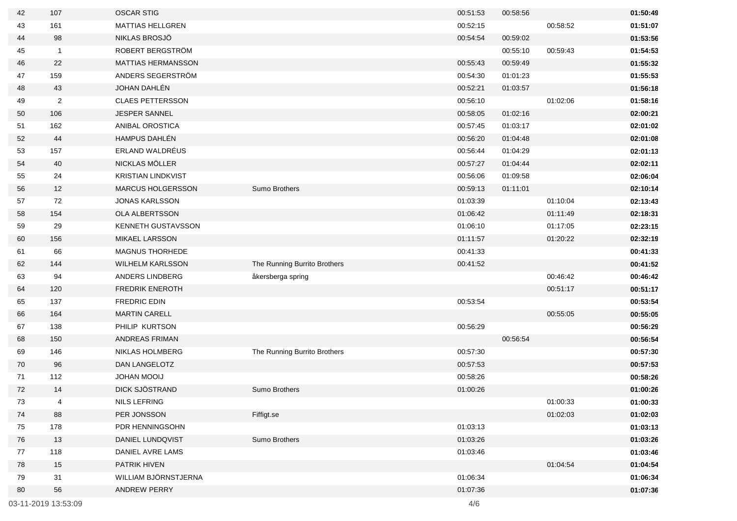| 42 | 107                 | <b>OSCAR STIG</b>         |                              | 00:51:53 | 00:58:56 |          | 01:50:49 |
|----|---------------------|---------------------------|------------------------------|----------|----------|----------|----------|
| 43 | 161                 | <b>MATTIAS HELLGREN</b>   |                              | 00:52:15 |          | 00:58:52 | 01:51:07 |
| 44 | 98                  | NIKLAS BROSJÖ             |                              | 00:54:54 | 00:59:02 |          | 01:53:56 |
| 45 | $\mathbf{1}$        | ROBERT BERGSTRÖM          |                              |          | 00:55:10 | 00:59:43 | 01:54:53 |
| 46 | 22                  | MATTIAS HERMANSSON        |                              | 00:55:43 | 00:59:49 |          | 01:55:32 |
| 47 | 159                 | ANDERS SEGERSTRÖM         |                              | 00:54:30 | 01:01:23 |          | 01:55:53 |
| 48 | 43                  | JOHAN DAHLÉN              |                              | 00:52:21 | 01:03:57 |          | 01:56:18 |
| 49 | $\overline{2}$      | <b>CLAES PETTERSSON</b>   |                              | 00:56:10 |          | 01:02:06 | 01:58:16 |
| 50 | 106                 | JESPER SANNEL             |                              | 00:58:05 | 01:02:16 |          | 02:00:21 |
| 51 | 162                 | ANIBAL OROSTICA           |                              | 00:57:45 | 01:03:17 |          | 02:01:02 |
| 52 | 44                  | HAMPUS DAHLÉN             |                              | 00:56:20 | 01:04:48 |          | 02:01:08 |
| 53 | 157                 | ERLAND WALDRÉUS           |                              | 00:56:44 | 01:04:29 |          | 02:01:13 |
| 54 | 40                  | NICKLAS MÖLLER            |                              | 00:57:27 | 01:04:44 |          | 02:02:11 |
| 55 | 24                  | <b>KRISTIAN LINDKVIST</b> |                              | 00:56:06 | 01:09:58 |          | 02:06:04 |
| 56 | 12                  | <b>MARCUS HOLGERSSON</b>  | Sumo Brothers                | 00:59:13 | 01:11:01 |          | 02:10:14 |
| 57 | 72                  | <b>JONAS KARLSSON</b>     |                              | 01:03:39 |          | 01:10:04 | 02:13:43 |
| 58 | 154                 | OLA ALBERTSSON            |                              | 01:06:42 |          | 01:11:49 | 02:18:31 |
| 59 | 29                  | <b>KENNETH GUSTAVSSON</b> |                              | 01:06:10 |          | 01:17:05 | 02:23:15 |
| 60 | 156                 | MIKAEL LARSSON            |                              | 01:11:57 |          | 01:20:22 | 02:32:19 |
| 61 | 66                  | MAGNUS THORHEDE           |                              | 00:41:33 |          |          | 00:41:33 |
| 62 | 144                 | <b>WILHELM KARLSSON</b>   | The Running Burrito Brothers | 00:41:52 |          |          | 00:41:52 |
| 63 | 94                  | ANDERS LINDBERG           | åkersberga spring            |          |          | 00:46:42 | 00:46:42 |
| 64 | 120                 | <b>FREDRIK ENEROTH</b>    |                              |          |          | 00:51:17 | 00:51:17 |
| 65 | 137                 | <b>FREDRIC EDIN</b>       |                              | 00:53:54 |          |          | 00:53:54 |
| 66 | 164                 | <b>MARTIN CARELL</b>      |                              |          |          | 00:55:05 | 00:55:05 |
| 67 | 138                 | PHILIP KURTSON            |                              | 00:56:29 |          |          | 00:56:29 |
| 68 | 150                 | <b>ANDREAS FRIMAN</b>     |                              |          | 00:56:54 |          | 00:56:54 |
| 69 | 146                 | NIKLAS HOLMBERG           | The Running Burrito Brothers | 00:57:30 |          |          | 00:57:30 |
| 70 | 96                  | DAN LANGELOTZ             |                              | 00:57:53 |          |          | 00:57:53 |
| 71 | 112                 | <b>JOHAN MOOIJ</b>        |                              | 00:58:26 |          |          | 00:58:26 |
| 72 | 14                  | DICK SJÖSTRAND            | <b>Sumo Brothers</b>         | 01:00:26 |          |          | 01:00:26 |
| 73 | 4                   | NILS LEFRING              |                              |          |          | 01:00:33 | 01:00:33 |
| 74 | 88                  | PER JONSSON               | Fiffigt.se                   |          |          | 01:02:03 | 01:02:03 |
| 75 | 178                 | PDR HENNINGSOHN           |                              | 01:03:13 |          |          | 01:03:13 |
| 76 | 13                  | DANIEL LUNDQVIST          | Sumo Brothers                | 01:03:26 |          |          | 01:03:26 |
| 77 | 118                 | DANIEL AVRE LAMS          |                              | 01:03:46 |          |          | 01:03:46 |
| 78 | 15                  | PATRIK HIVEN              |                              |          |          | 01:04:54 | 01:04:54 |
| 79 | 31                  | WILLIAM BJÖRNSTJERNA      |                              | 01:06:34 |          |          | 01:06:34 |
| 80 | 56                  | <b>ANDREW PERRY</b>       |                              | 01:07:36 |          |          | 01:07:36 |
|    | 03-11-2019 13:53:09 |                           |                              | 4/6      |          |          |          |